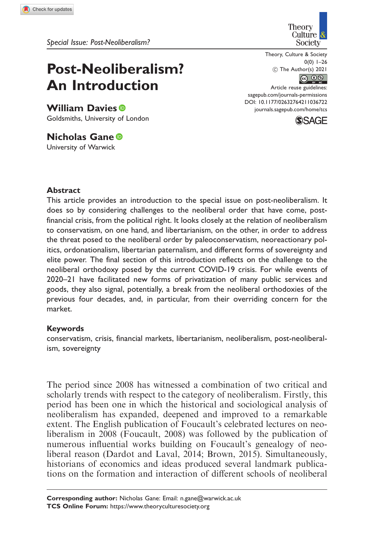# Post-Neoliberalism? An Introduction

William Davies<sup>®</sup> Goldsmiths, University of London

Nicholas Gane University of Warwick



Theory, Culture & Society  $0(0)$  1–26 ! The Author(s) 2021  $\circledcirc$   $\circledcirc$ 

Article reuse guidelines: [sagepub.com/journals-permissions](https://uk.sagepub.com/en-gb/journals-permissions) DOI: [10.1177/02632764211036722](https://doi.org/10.1177/02632764211036722) <journals.sagepub.com/home/tcs>



## **Abstract**

This article provides an introduction to the special issue on post-neoliberalism. It does so by considering challenges to the neoliberal order that have come, postfinancial crisis, from the political right. It looks closely at the relation of neoliberalism to conservatism, on one hand, and libertarianism, on the other, in order to address the threat posed to the neoliberal order by paleoconservatism, neoreactionary politics, ordonationalism, libertarian paternalism, and different forms of sovereignty and elite power. The final section of this introduction reflects on the challenge to the neoliberal orthodoxy posed by the current COVID-19 crisis. For while events of 2020–21 have facilitated new forms of privatization of many public services and goods, they also signal, potentially, a break from the neoliberal orthodoxies of the previous four decades, and, in particular, from their overriding concern for the market.

### Keywords

conservatism, crisis, financial markets, libertarianism, neoliberalism, post-neoliberalism, sovereignty

The period since 2008 has witnessed a combination of two critical and scholarly trends with respect to the category of neoliberalism. Firstly, this period has been one in which the historical and sociological analysis of neoliberalism has expanded, deepened and improved to a remarkable extent. The English publication of Foucault's celebrated lectures on neoliberalism in 2008 (Foucault, 2008) was followed by the publication of numerous influential works building on Foucault's genealogy of neoliberal reason (Dardot and Laval, 2014; Brown, 2015). Simultaneously, historians of economics and ideas produced several landmark publications on the formation and interaction of different schools of neoliberal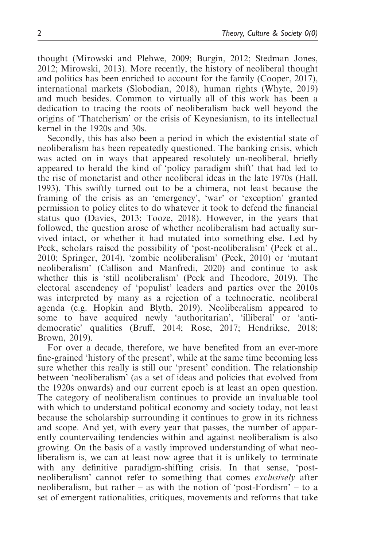thought (Mirowski and Plehwe, 2009; Burgin, 2012; Stedman Jones, 2012; Mirowski, 2013). More recently, the history of neoliberal thought and politics has been enriched to account for the family (Cooper, 2017), international markets (Slobodian, 2018), human rights (Whyte, 2019) and much besides. Common to virtually all of this work has been a dedication to tracing the roots of neoliberalism back well beyond the origins of 'Thatcherism' or the crisis of Keynesianism, to its intellectual kernel in the 1920s and 30s.

Secondly, this has also been a period in which the existential state of neoliberalism has been repeatedly questioned. The banking crisis, which was acted on in ways that appeared resolutely un-neoliberal, briefly appeared to herald the kind of 'policy paradigm shift' that had led to the rise of monetarist and other neoliberal ideas in the late 1970s (Hall, 1993). This swiftly turned out to be a chimera, not least because the framing of the crisis as an 'emergency', 'war' or 'exception' granted permission to policy elites to do whatever it took to defend the financial status quo (Davies, 2013; Tooze, 2018). However, in the years that followed, the question arose of whether neoliberalism had actually survived intact, or whether it had mutated into something else. Led by Peck, scholars raised the possibility of 'post-neoliberalism' (Peck et al., 2010; Springer, 2014), 'zombie neoliberalism' (Peck, 2010) or 'mutant neoliberalism' (Callison and Manfredi, 2020) and continue to ask whether this is 'still neoliberalism' (Peck and Theodore, 2019). The electoral ascendency of 'populist' leaders and parties over the 2010s was interpreted by many as a rejection of a technocratic, neoliberal agenda (e.g. Hopkin and Blyth, 2019). Neoliberalism appeared to some to have acquired newly 'authoritarian', 'illiberal' or 'antidemocratic' qualities (Bruff, 2014; Rose, 2017; Hendrikse, 2018; Brown, 2019).

For over a decade, therefore, we have benefited from an ever-more fine-grained 'history of the present', while at the same time becoming less sure whether this really is still our 'present' condition. The relationship between 'neoliberalism' (as a set of ideas and policies that evolved from the 1920s onwards) and our current epoch is at least an open question. The category of neoliberalism continues to provide an invaluable tool with which to understand political economy and society today, not least because the scholarship surrounding it continues to grow in its richness and scope. And yet, with every year that passes, the number of apparently countervailing tendencies within and against neoliberalism is also growing. On the basis of a vastly improved understanding of what neoliberalism is, we can at least now agree that it is unlikely to terminate with any definitive paradigm-shifting crisis. In that sense, 'postneoliberalism' cannot refer to something that comes exclusively after neoliberalism, but rather – as with the notion of 'post-Fordism' – to a set of emergent rationalities, critiques, movements and reforms that take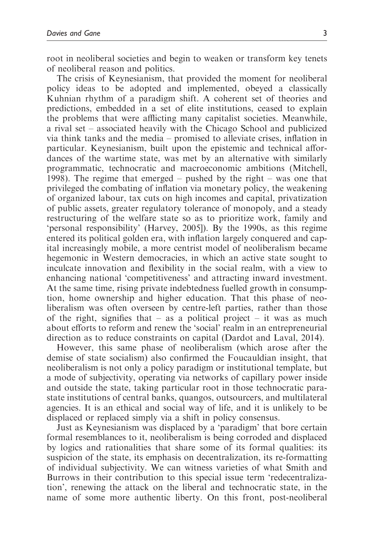root in neoliberal societies and begin to weaken or transform key tenets of neoliberal reason and politics.

The crisis of Keynesianism, that provided the moment for neoliberal policy ideas to be adopted and implemented, obeyed a classically Kuhnian rhythm of a paradigm shift. A coherent set of theories and predictions, embedded in a set of elite institutions, ceased to explain the problems that were afflicting many capitalist societies. Meanwhile, a rival set – associated heavily with the Chicago School and publicized via think tanks and the media – promised to alleviate crises, inflation in particular. Keynesianism, built upon the epistemic and technical affordances of the wartime state, was met by an alternative with similarly programmatic, technocratic and macroeconomic ambitions (Mitchell, 1998). The regime that emerged – pushed by the right – was one that privileged the combating of inflation via monetary policy, the weakening of organized labour, tax cuts on high incomes and capital, privatization of public assets, greater regulatory tolerance of monopoly, and a steady restructuring of the welfare state so as to prioritize work, family and 'personal responsibility' (Harvey, 2005]). By the 1990s, as this regime entered its political golden era, with inflation largely conquered and capital increasingly mobile, a more centrist model of neoliberalism became hegemonic in Western democracies, in which an active state sought to inculcate innovation and flexibility in the social realm, with a view to enhancing national 'competitiveness' and attracting inward investment. At the same time, rising private indebtedness fuelled growth in consumption, home ownership and higher education. That this phase of neoliberalism was often overseen by centre-left parties, rather than those of the right, signifies that – as a political project – it was as much about efforts to reform and renew the 'social' realm in an entrepreneurial direction as to reduce constraints on capital (Dardot and Laval, 2014).

However, this same phase of neoliberalism (which arose after the demise of state socialism) also confirmed the Foucauldian insight, that neoliberalism is not only a policy paradigm or institutional template, but a mode of subjectivity, operating via networks of capillary power inside and outside the state, taking particular root in those technocratic parastate institutions of central banks, quangos, outsourcers, and multilateral agencies. It is an ethical and social way of life, and it is unlikely to be displaced or replaced simply via a shift in policy consensus.

Just as Keynesianism was displaced by a 'paradigm' that bore certain formal resemblances to it, neoliberalism is being corroded and displaced by logics and rationalities that share some of its formal qualities: its suspicion of the state, its emphasis on decentralization, its re-formatting of individual subjectivity. We can witness varieties of what Smith and Burrows in their contribution to this special issue term 'redecentralization', renewing the attack on the liberal and technocratic state, in the name of some more authentic liberty. On this front, post-neoliberal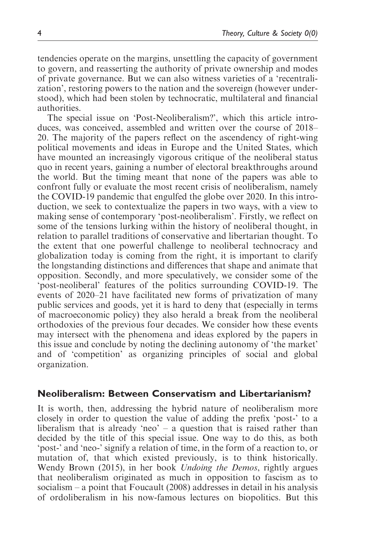tendencies operate on the margins, unsettling the capacity of government to govern, and reasserting the authority of private ownership and modes of private governance. But we can also witness varieties of a 'recentralization', restoring powers to the nation and the sovereign (however understood), which had been stolen by technocratic, multilateral and financial authorities.

The special issue on 'Post-Neoliberalism?', which this article introduces, was conceived, assembled and written over the course of 2018– 20. The majority of the papers reflect on the ascendency of right-wing political movements and ideas in Europe and the United States, which have mounted an increasingly vigorous critique of the neoliberal status quo in recent years, gaining a number of electoral breakthroughs around the world. But the timing meant that none of the papers was able to confront fully or evaluate the most recent crisis of neoliberalism, namely the COVID-19 pandemic that engulfed the globe over 2020. In this introduction, we seek to contextualize the papers in two ways, with a view to making sense of contemporary 'post-neoliberalism'. Firstly, we reflect on some of the tensions lurking within the history of neoliberal thought, in relation to parallel traditions of conservative and libertarian thought. To the extent that one powerful challenge to neoliberal technocracy and globalization today is coming from the right, it is important to clarify the longstanding distinctions and differences that shape and animate that opposition. Secondly, and more speculatively, we consider some of the 'post-neoliberal' features of the politics surrounding COVID-19. The events of 2020–21 have facilitated new forms of privatization of many public services and goods, yet it is hard to deny that (especially in terms of macroeconomic policy) they also herald a break from the neoliberal orthodoxies of the previous four decades. We consider how these events may intersect with the phenomena and ideas explored by the papers in this issue and conclude by noting the declining autonomy of 'the market' and of 'competition' as organizing principles of social and global organization.

## Neoliberalism: Between Conservatism and Libertarianism?

It is worth, then, addressing the hybrid nature of neoliberalism more closely in order to question the value of adding the prefix 'post-' to a liberalism that is already 'neo'  $-$  a question that is raised rather than decided by the title of this special issue. One way to do this, as both 'post-' and 'neo-' signify a relation of time, in the form of a reaction to, or mutation of, that which existed previously, is to think historically. Wendy Brown (2015), in her book Undoing the Demos, rightly argues that neoliberalism originated as much in opposition to fascism as to socialism – a point that Foucault (2008) addresses in detail in his analysis of ordoliberalism in his now-famous lectures on biopolitics. But this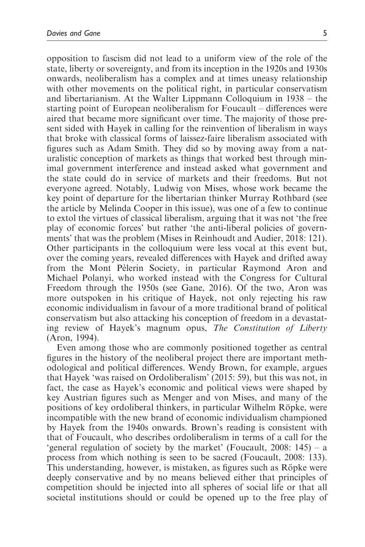opposition to fascism did not lead to a uniform view of the role of the state, liberty or sovereignty, and from its inception in the 1920s and 1930s onwards, neoliberalism has a complex and at times uneasy relationship with other movements on the political right, in particular conservatism and libertarianism. At the Walter Lippmann Colloquium in 1938 – the starting point of European neoliberalism for Foucault – differences were aired that became more significant over time. The majority of those present sided with Hayek in calling for the reinvention of liberalism in ways that broke with classical forms of laissez-faire liberalism associated with figures such as Adam Smith. They did so by moving away from a naturalistic conception of markets as things that worked best through minimal government interference and instead asked what government and the state could do in service of markets and their freedoms. But not everyone agreed. Notably, Ludwig von Mises, whose work became the key point of departure for the libertarian thinker Murray Rothbard (see the article by Melinda Cooper in this issue), was one of a few to continue to extol the virtues of classical liberalism, arguing that it was not 'the free play of economic forces' but rather 'the anti-liberal policies of governments' that was the problem (Mises in Reinhoudt and Audier, 2018: 121). Other participants in the colloquium were less vocal at this event but, over the coming years, revealed differences with Hayek and drifted away from the Mont Pèlerin Society, in particular Raymond Aron and Michael Polanyi, who worked instead with the Congress for Cultural Freedom through the 1950s (see Gane, 2016). Of the two, Aron was more outspoken in his critique of Hayek, not only rejecting his raw economic individualism in favour of a more traditional brand of political conservatism but also attacking his conception of freedom in a devastating review of Hayek's magnum opus, The Constitution of Liberty (Aron, 1994).

Even among those who are commonly positioned together as central figures in the history of the neoliberal project there are important methodological and political differences. Wendy Brown, for example, argues that Hayek 'was raised on Ordoliberalism' (2015: 59), but this was not, in fact, the case as Hayek's economic and political views were shaped by key Austrian figures such as Menger and von Mises, and many of the positions of key ordoliberal thinkers, in particular Wilhelm Röpke, were incompatible with the new brand of economic individualism championed by Hayek from the 1940s onwards. Brown's reading is consistent with that of Foucault, who describes ordoliberalism in terms of a call for the 'general regulation of society by the market' (Foucault, 2008: 145) – a process from which nothing is seen to be sacred (Foucault, 2008: 133). This understanding, however, is mistaken, as figures such as Röpke were deeply conservative and by no means believed either that principles of competition should be injected into all spheres of social life or that all societal institutions should or could be opened up to the free play of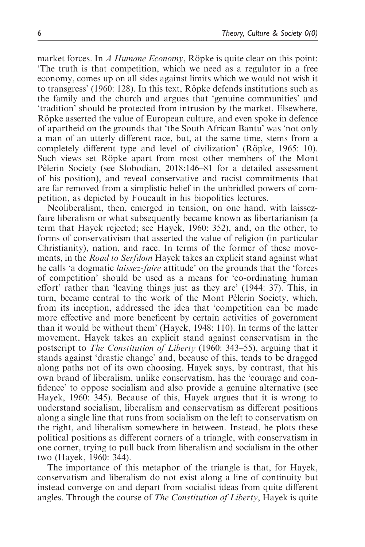market forces. In A Humane Economy, Röpke is quite clear on this point: 'The truth is that competition, which we need as a regulator in a free economy, comes up on all sides against limits which we would not wish it to transgress' (1960: 128). In this text, Röpke defends institutions such as the family and the church and argues that 'genuine communities' and 'tradition' should be protected from intrusion by the market. Elsewhere, Röpke asserted the value of European culture, and even spoke in defence of apartheid on the grounds that 'the South African Bantu' was 'not only a man of an utterly different race, but, at the same time, stems from a completely different type and level of civilization' (Röpke, 1965: 10). Such views set Röpke apart from most other members of the Mont Pèlerin Society (see Slobodian, 2018:146–81 for a detailed assessment of his position), and reveal conservative and racist commitments that are far removed from a simplistic belief in the unbridled powers of competition, as depicted by Foucault in his biopolitics lectures.

Neoliberalism, then, emerged in tension, on one hand, with laissezfaire liberalism or what subsequently became known as libertarianism (a term that Hayek rejected; see Hayek, 1960: 352), and, on the other, to forms of conservativism that asserted the value of religion (in particular Christianity), nation, and race. In terms of the former of these movements, in the Road to Serfdom Hayek takes an explicit stand against what he calls 'a dogmatic laissez-faire attitude' on the grounds that the 'forces of competition' should be used as a means for 'co-ordinating human effort' rather than 'leaving things just as they are' (1944: 37). This, in turn, became central to the work of the Mont Pelerin Society, which, from its inception, addressed the idea that 'competition can be made more effective and more beneficent by certain activities of government than it would be without them' (Hayek, 1948: 110). In terms of the latter movement, Hayek takes an explicit stand against conservatism in the postscript to The Constitution of Liberty (1960: 343–55), arguing that it stands against 'drastic change' and, because of this, tends to be dragged along paths not of its own choosing. Hayek says, by contrast, that his own brand of liberalism, unlike conservatism, has the 'courage and confidence' to oppose socialism and also provide a genuine alternative (see Hayek, 1960: 345). Because of this, Hayek argues that it is wrong to understand socialism, liberalism and conservatism as different positions along a single line that runs from socialism on the left to conservatism on the right, and liberalism somewhere in between. Instead, he plots these political positions as different corners of a triangle, with conservatism in one corner, trying to pull back from liberalism and socialism in the other two (Hayek, 1960: 344).

The importance of this metaphor of the triangle is that, for Hayek, conservatism and liberalism do not exist along a line of continuity but instead converge on and depart from socialist ideas from quite different angles. Through the course of The Constitution of Liberty, Hayek is quite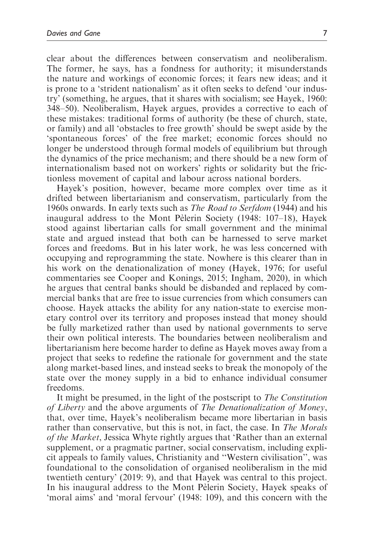clear about the differences between conservatism and neoliberalism. The former, he says, has a fondness for authority; it misunderstands the nature and workings of economic forces; it fears new ideas; and it is prone to a 'strident nationalism' as it often seeks to defend 'our industry' (something, he argues, that it shares with socialism; see Hayek, 1960: 348–50). Neoliberalism, Hayek argues, provides a corrective to each of these mistakes: traditional forms of authority (be these of church, state, or family) and all 'obstacles to free growth' should be swept aside by the 'spontaneous forces' of the free market; economic forces should no longer be understood through formal models of equilibrium but through the dynamics of the price mechanism; and there should be a new form of internationalism based not on workers' rights or solidarity but the frictionless movement of capital and labour across national borders.

Hayek's position, however, became more complex over time as it drifted between libertarianism and conservatism, particularly from the 1960s onwards. In early texts such as The Road to Serfdom (1944) and his inaugural address to the Mont Pèlerin Society (1948:  $107-18$ ), Hayek stood against libertarian calls for small government and the minimal state and argued instead that both can be harnessed to serve market forces and freedoms. But in his later work, he was less concerned with occupying and reprogramming the state. Nowhere is this clearer than in his work on the denationalization of money (Hayek, 1976; for useful commentaries see Cooper and Konings, 2015; Ingham, 2020), in which he argues that central banks should be disbanded and replaced by commercial banks that are free to issue currencies from which consumers can choose. Hayek attacks the ability for any nation-state to exercise monetary control over its territory and proposes instead that money should be fully marketized rather than used by national governments to serve their own political interests. The boundaries between neoliberalism and libertarianism here become harder to define as Hayek moves away from a project that seeks to redefine the rationale for government and the state along market-based lines, and instead seeks to break the monopoly of the state over the money supply in a bid to enhance individual consumer freedoms.

It might be presumed, in the light of the postscript to The Constitution of Liberty and the above arguments of The Denationalization of Money, that, over time, Hayek's neoliberalism became more libertarian in basis rather than conservative, but this is not, in fact, the case. In The Morals of the Market, Jessica Whyte rightly argues that 'Rather than an external supplement, or a pragmatic partner, social conservatism, including explicit appeals to family values, Christianity and ''Western civilisation'', was foundational to the consolidation of organised neoliberalism in the mid twentieth century' (2019: 9), and that Hayek was central to this project. In his inaugural address to the Mont Peterin Society, Hayek speaks of 'moral aims' and 'moral fervour' (1948: 109), and this concern with the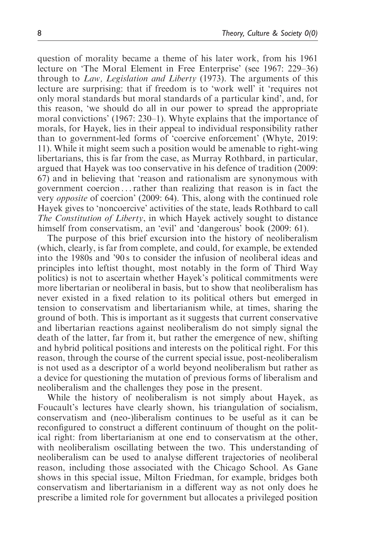question of morality became a theme of his later work, from his 1961 lecture on 'The Moral Element in Free Enterprise' (see 1967: 229–36) through to Law, Legislation and Liberty (1973). The arguments of this lecture are surprising: that if freedom is to 'work well' it 'requires not only moral standards but moral standards of a particular kind', and, for this reason, 'we should do all in our power to spread the appropriate moral convictions' (1967: 230–1). Whyte explains that the importance of morals, for Hayek, lies in their appeal to individual responsibility rather than to government-led forms of 'coercive enforcement' (Whyte, 2019: 11). While it might seem such a position would be amenable to right-wing libertarians, this is far from the case, as Murray Rothbard, in particular, argued that Hayek was too conservative in his defence of tradition (2009: 67) and in believing that 'reason and rationalism are synonymous with government coercion ...rather than realizing that reason is in fact the very opposite of coercion' (2009: 64). This, along with the continued role Hayek gives to 'noncoercive' activities of the state, leads Rothbard to call The Constitution of Liberty, in which Hayek actively sought to distance himself from conservatism, an 'evil' and 'dangerous' book (2009: 61).

The purpose of this brief excursion into the history of neoliberalism (which, clearly, is far from complete, and could, for example, be extended into the 1980s and '90 s to consider the infusion of neoliberal ideas and principles into leftist thought, most notably in the form of Third Way politics) is not to ascertain whether Hayek's political commitments were more libertarian or neoliberal in basis, but to show that neoliberalism has never existed in a fixed relation to its political others but emerged in tension to conservatism and libertarianism while, at times, sharing the ground of both. This is important as it suggests that current conservative and libertarian reactions against neoliberalism do not simply signal the death of the latter, far from it, but rather the emergence of new, shifting and hybrid political positions and interests on the political right. For this reason, through the course of the current special issue, post-neoliberalism is not used as a descriptor of a world beyond neoliberalism but rather as a device for questioning the mutation of previous forms of liberalism and neoliberalism and the challenges they pose in the present.

While the history of neoliberalism is not simply about Hayek, as Foucault's lectures have clearly shown, his triangulation of socialism, conservatism and (neo-)liberalism continues to be useful as it can be reconfigured to construct a different continuum of thought on the political right: from libertarianism at one end to conservatism at the other, with neoliberalism oscillating between the two. This understanding of neoliberalism can be used to analyse different trajectories of neoliberal reason, including those associated with the Chicago School. As Gane shows in this special issue, Milton Friedman, for example, bridges both conservatism and libertarianism in a different way as not only does he prescribe a limited role for government but allocates a privileged position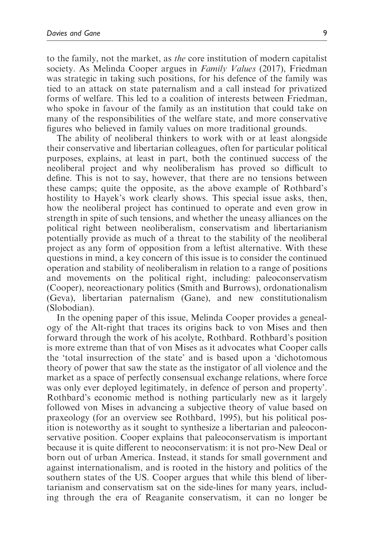to the family, not the market, as the core institution of modern capitalist society. As Melinda Cooper argues in *Family Values* (2017), Friedman was strategic in taking such positions, for his defence of the family was tied to an attack on state paternalism and a call instead for privatized forms of welfare. This led to a coalition of interests between Friedman, who spoke in favour of the family as an institution that could take on many of the responsibilities of the welfare state, and more conservative figures who believed in family values on more traditional grounds.

The ability of neoliberal thinkers to work with or at least alongside their conservative and libertarian colleagues, often for particular political purposes, explains, at least in part, both the continued success of the neoliberal project and why neoliberalism has proved so difficult to define. This is not to say, however, that there are no tensions between these camps; quite the opposite, as the above example of Rothbard's hostility to Hayek's work clearly shows. This special issue asks, then, how the neoliberal project has continued to operate and even grow in strength in spite of such tensions, and whether the uneasy alliances on the political right between neoliberalism, conservatism and libertarianism potentially provide as much of a threat to the stability of the neoliberal project as any form of opposition from a leftist alternative. With these questions in mind, a key concern of this issue is to consider the continued operation and stability of neoliberalism in relation to a range of positions and movements on the political right, including: paleoconservatism (Cooper), neoreactionary politics (Smith and Burrows), ordonationalism (Geva), libertarian paternalism (Gane), and new constitutionalism (Slobodian).

In the opening paper of this issue, Melinda Cooper provides a genealogy of the Alt-right that traces its origins back to von Mises and then forward through the work of his acolyte, Rothbard. Rothbard's position is more extreme than that of von Mises as it advocates what Cooper calls the 'total insurrection of the state' and is based upon a 'dichotomous theory of power that saw the state as the instigator of all violence and the market as a space of perfectly consensual exchange relations, where force was only ever deployed legitimately, in defence of person and property'. Rothbard's economic method is nothing particularly new as it largely followed von Mises in advancing a subjective theory of value based on praxeology (for an overview see Rothbard, 1995), but his political position is noteworthy as it sought to synthesize a libertarian and paleoconservative position. Cooper explains that paleoconservatism is important because it is quite different to neoconservatism: it is not pro-New Deal or born out of urban America. Instead, it stands for small government and against internationalism, and is rooted in the history and politics of the southern states of the US. Cooper argues that while this blend of libertarianism and conservatism sat on the side-lines for many years, including through the era of Reaganite conservatism, it can no longer be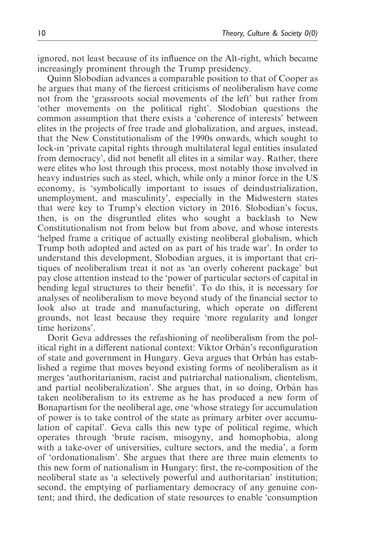ignored, not least because of its influence on the Alt-right, which became increasingly prominent through the Trump presidency.

Quinn Slobodian advances a comparable position to that of Cooper as he argues that many of the fiercest criticisms of neoliberalism have come not from the 'grassroots social movements of the left' but rather from 'other movements on the political right'. Slodobian questions the common assumption that there exists a 'coherence of interests' between elites in the projects of free trade and globalization, and argues, instead, that the New Constitutionalism of the 1990s onwards, which sought to lock-in 'private capital rights through multilateral legal entities insulated from democracy', did not benefit all elites in a similar way. Rather, there were elites who lost through this process, most notably those involved in heavy industries such as steel, which, while only a minor force in the US economy, is 'symbolically important to issues of deindustrialization, unemployment, and masculinity', especially in the Midwestern states that were key to Trump's election victory in 2016. Slobodian's focus, then, is on the disgruntled elites who sought a backlash to New Constitutionalism not from below but from above, and whose interests 'helped frame a critique of actually existing neoliberal globalism, which Trump both adopted and acted on as part of his trade war'. In order to understand this development, Slobodian argues, it is important that critiques of neoliberalism treat it not as 'an overly coherent package' but pay close attention instead to the 'power of particular sectors of capital in bending legal structures to their benefit'. To do this, it is necessary for analyses of neoliberalism to move beyond study of the financial sector to look also at trade and manufacturing, which operate on different grounds, not least because they require 'more regularity and longer time horizons'.

Dorit Geva addresses the refashioning of neoliberalism from the political right in a different national context: Viktor Orbán's reconfiguration of state and government in Hungary. Geva argues that Orbán has established a regime that moves beyond existing forms of neoliberalism as it merges 'authoritarianism, racist and patriarchal nationalism, clientelism, and partial neoliberalization'. She argues that, in so doing, Orbán has taken neoliberalism to its extreme as he has produced a new form of Bonapartism for the neoliberal age, one 'whose strategy for accumulation of power is to take control of the state as primary arbiter over accumulation of capital'. Geva calls this new type of political regime, which operates through 'brute racism, misogyny, and homophobia, along with a take-over of universities, culture sectors, and the media', a form of 'ordonationalism'. She argues that there are three main elements to this new form of nationalism in Hungary: first, the re-composition of the neoliberal state as 'a selectively powerful and authoritarian' institution; second, the emptying of parliamentary democracy of any genuine content; and third, the dedication of state resources to enable 'consumption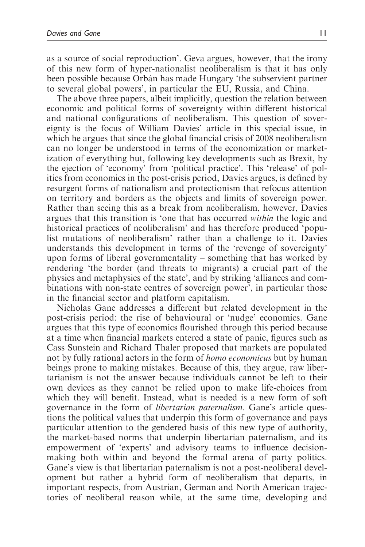as a source of social reproduction'. Geva argues, however, that the irony of this new form of hyper-nationalist neoliberalism is that it has only been possible because Orbán has made Hungary 'the subservient partner to several global powers', in particular the EU, Russia, and China.

The above three papers, albeit implicitly, question the relation between economic and political forms of sovereignty within different historical and national configurations of neoliberalism. This question of sovereignty is the focus of William Davies' article in this special issue, in which he argues that since the global financial crisis of 2008 neoliberalism can no longer be understood in terms of the economization or marketization of everything but, following key developments such as Brexit, by the ejection of 'economy' from 'political practice'. This 'release' of politics from economics in the post-crisis period, Davies argues, is defined by resurgent forms of nationalism and protectionism that refocus attention on territory and borders as the objects and limits of sovereign power. Rather than seeing this as a break from neoliberalism, however, Davies argues that this transition is 'one that has occurred within the logic and historical practices of neoliberalism' and has therefore produced 'populist mutations of neoliberalism' rather than a challenge to it. Davies understands this development in terms of the 'revenge of sovereignty' upon forms of liberal governmentality – something that has worked by rendering 'the border (and threats to migrants) a crucial part of the physics and metaphysics of the state', and by striking 'alliances and combinations with non-state centres of sovereign power', in particular those in the financial sector and platform capitalism.

Nicholas Gane addresses a different but related development in the post-crisis period: the rise of behavioural or 'nudge' economics. Gane argues that this type of economics flourished through this period because at a time when financial markets entered a state of panic, figures such as Cass Sunstein and Richard Thaler proposed that markets are populated not by fully rational actors in the form of homo economicus but by human beings prone to making mistakes. Because of this, they argue, raw libertarianism is not the answer because individuals cannot be left to their own devices as they cannot be relied upon to make life-choices from which they will benefit. Instead, what is needed is a new form of soft governance in the form of libertarian paternalism. Gane's article questions the political values that underpin this form of governance and pays particular attention to the gendered basis of this new type of authority, the market-based norms that underpin libertarian paternalism, and its empowerment of 'experts' and advisory teams to influence decisionmaking both within and beyond the formal arena of party politics. Gane's view is that libertarian paternalism is not a post-neoliberal development but rather a hybrid form of neoliberalism that departs, in important respects, from Austrian, German and North American trajectories of neoliberal reason while, at the same time, developing and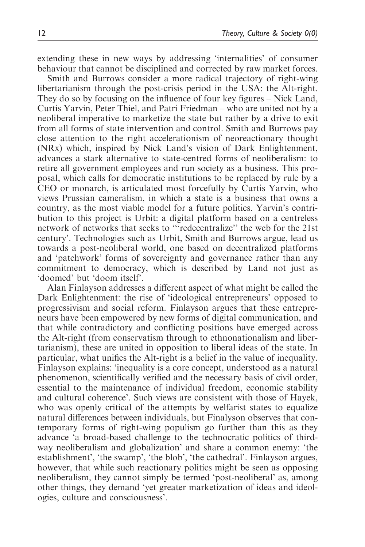extending these in new ways by addressing 'internalities' of consumer behaviour that cannot be disciplined and corrected by raw market forces.

Smith and Burrows consider a more radical trajectory of right-wing libertarianism through the post-crisis period in the USA: the Alt-right. They do so by focusing on the influence of four key figures – Nick Land, Curtis Yarvin, Peter Thiel, and Patri Friedman – who are united not by a neoliberal imperative to marketize the state but rather by a drive to exit from all forms of state intervention and control. Smith and Burrows pay close attention to the right accelerationism of neoreactionary thought (NRx) which, inspired by Nick Land's vision of Dark Enlightenment, advances a stark alternative to state-centred forms of neoliberalism: to retire all government employees and run society as a business. This proposal, which calls for democratic institutions to be replaced by rule by a CEO or monarch, is articulated most forcefully by Curtis Yarvin, who views Prussian cameralism, in which a state is a business that owns a country, as the most viable model for a future politics. Yarvin's contribution to this project is Urbit: a digital platform based on a centreless network of networks that seeks to '''redecentralize'' the web for the 21st century'. Technologies such as Urbit, Smith and Burrows argue, lead us towards a post-neoliberal world, one based on decentralized platforms and 'patchwork' forms of sovereignty and governance rather than any commitment to democracy, which is described by Land not just as 'doomed' but 'doom itself'.

Alan Finlayson addresses a different aspect of what might be called the Dark Enlightenment: the rise of 'ideological entrepreneurs' opposed to progressivism and social reform. Finlayson argues that these entrepreneurs have been empowered by new forms of digital communication, and that while contradictory and conflicting positions have emerged across the Alt-right (from conservatism through to ethnonationalism and libertarianism), these are united in opposition to liberal ideas of the state. In particular, what unifies the Alt-right is a belief in the value of inequality. Finlayson explains: 'inequality is a core concept, understood as a natural phenomenon, scientifically verified and the necessary basis of civil order, essential to the maintenance of individual freedom, economic stability and cultural coherence'. Such views are consistent with those of Hayek, who was openly critical of the attempts by welfarist states to equalize natural differences between individuals, but Finalyson observes that contemporary forms of right-wing populism go further than this as they advance 'a broad-based challenge to the technocratic politics of thirdway neoliberalism and globalization' and share a common enemy: 'the establishment', 'the swamp', 'the blob', 'the cathedral'. Finlayson argues, however, that while such reactionary politics might be seen as opposing neoliberalism, they cannot simply be termed 'post-neoliberal' as, among other things, they demand 'yet greater marketization of ideas and ideologies, culture and consciousness'.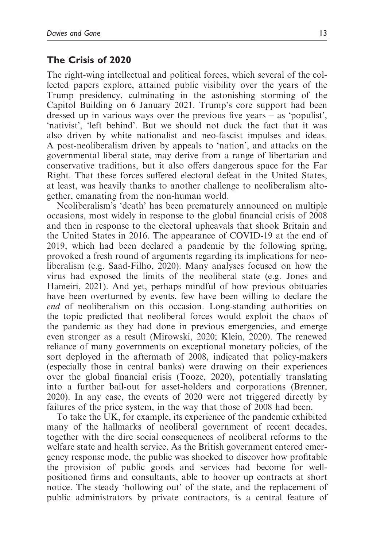# The Crisis of 2020

The right-wing intellectual and political forces, which several of the collected papers explore, attained public visibility over the years of the Trump presidency, culminating in the astonishing storming of the Capitol Building on 6 January 2021. Trump's core support had been dressed up in various ways over the previous five years – as 'populist', 'nativist', 'left behind'. But we should not duck the fact that it was also driven by white nationalist and neo-fascist impulses and ideas. A post-neoliberalism driven by appeals to 'nation', and attacks on the governmental liberal state, may derive from a range of libertarian and conservative traditions, but it also offers dangerous space for the Far Right. That these forces suffered electoral defeat in the United States, at least, was heavily thanks to another challenge to neoliberalism altogether, emanating from the non-human world.

Neoliberalism's 'death' has been prematurely announced on multiple occasions, most widely in response to the global financial crisis of 2008 and then in response to the electoral upheavals that shook Britain and the United States in 2016. The appearance of COVID-19 at the end of 2019, which had been declared a pandemic by the following spring, provoked a fresh round of arguments regarding its implications for neoliberalism (e.g. Saad-Filho, 2020). Many analyses focused on how the virus had exposed the limits of the neoliberal state (e.g. Jones and Hameiri, 2021). And yet, perhaps mindful of how previous obituaries have been overturned by events, few have been willing to declare the end of neoliberalism on this occasion. Long-standing authorities on the topic predicted that neoliberal forces would exploit the chaos of the pandemic as they had done in previous emergencies, and emerge even stronger as a result (Mirowski, 2020; Klein, 2020). The renewed reliance of many governments on exceptional monetary policies, of the sort deployed in the aftermath of 2008, indicated that policy-makers (especially those in central banks) were drawing on their experiences over the global financial crisis (Tooze, 2020), potentially translating into a further bail-out for asset-holders and corporations (Brenner, 2020). In any case, the events of 2020 were not triggered directly by failures of the price system, in the way that those of 2008 had been.

To take the UK, for example, its experience of the pandemic exhibited many of the hallmarks of neoliberal government of recent decades, together with the dire social consequences of neoliberal reforms to the welfare state and health service. As the British government entered emergency response mode, the public was shocked to discover how profitable the provision of public goods and services had become for wellpositioned firms and consultants, able to hoover up contracts at short notice. The steady 'hollowing out' of the state, and the replacement of public administrators by private contractors, is a central feature of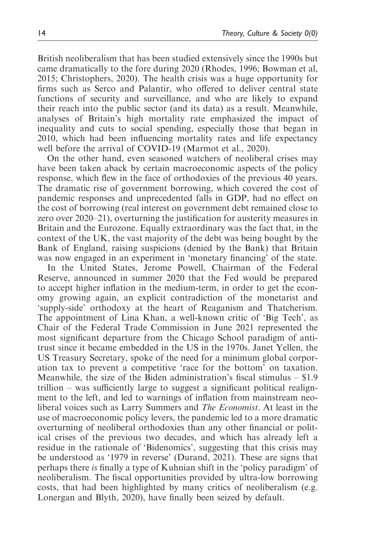British neoliberalism that has been studied extensively since the 1990s but came dramatically to the fore during 2020 (Rhodes, 1996; Bowman et al, 2015; Christophers, 2020). The health crisis was a huge opportunity for firms such as Serco and Palantir, who offered to deliver central state functions of security and surveillance, and who are likely to expand their reach into the public sector (and its data) as a result. Meanwhile, analyses of Britain's high mortality rate emphasized the impact of inequality and cuts to social spending, especially those that began in 2010, which had been influencing mortality rates and life expectancy well before the arrival of COVID-19 (Marmot et al., 2020).

On the other hand, even seasoned watchers of neoliberal crises may have been taken aback by certain macroeconomic aspects of the policy response, which flew in the face of orthodoxies of the previous 40 years. The dramatic rise of government borrowing, which covered the cost of pandemic responses and unprecedented falls in GDP, had no effect on the cost of borrowing (real interest on government debt remained close to zero over 2020–21), overturning the justification for austerity measures in Britain and the Eurozone. Equally extraordinary was the fact that, in the context of the UK, the vast majority of the debt was being bought by the Bank of England, raising suspicions (denied by the Bank) that Britain was now engaged in an experiment in 'monetary financing' of the state.

In the United States, Jerome Powell, Chairman of the Federal Reserve, announced in summer 2020 that the Fed would be prepared to accept higher inflation in the medium-term, in order to get the economy growing again, an explicit contradiction of the monetarist and 'supply-side' orthodoxy at the heart of Reaganism and Thatcherism. The appointment of Lina Khan, a well-known critic of 'Big Tech', as Chair of the Federal Trade Commission in June 2021 represented the most significant departure from the Chicago School paradigm of antitrust since it became embedded in the US in the 1970s. Janet Yellen, the US Treasury Secretary, spoke of the need for a minimum global corporation tax to prevent a competitive 'race for the bottom' on taxation. Meanwhile, the size of the Biden administration's fiscal stimulus – \$1.9 trillion – was sufficiently large to suggest a significant political realignment to the left, and led to warnings of inflation from mainstream neoliberal voices such as Larry Summers and The Economist. At least in the use of macroeconomic policy levers, the pandemic led to a more dramatic overturning of neoliberal orthodoxies than any other financial or political crises of the previous two decades, and which has already left a residue in the rationale of 'Bidenomics', suggesting that this crisis may be understood as '1979 in reverse' (Durand, 2021). These are signs that perhaps there is finally a type of Kuhnian shift in the 'policy paradigm' of neoliberalism. The fiscal opportunities provided by ultra-low borrowing costs, that had been highlighted by many critics of neoliberalism (e.g. Lonergan and Blyth, 2020), have finally been seized by default.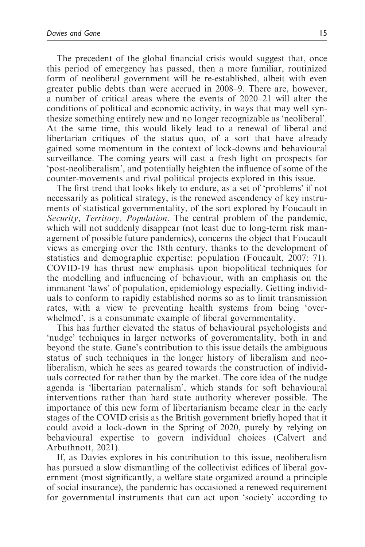The precedent of the global financial crisis would suggest that, once this period of emergency has passed, then a more familiar, routinized form of neoliberal government will be re-established, albeit with even greater public debts than were accrued in 2008–9. There are, however, a number of critical areas where the events of 2020–21 will alter the conditions of political and economic activity, in ways that may well synthesize something entirely new and no longer recognizable as 'neoliberal'. At the same time, this would likely lead to a renewal of liberal and libertarian critiques of the status quo, of a sort that have already gained some momentum in the context of lock-downs and behavioural surveillance. The coming years will cast a fresh light on prospects for 'post-neoliberalism', and potentially heighten the influence of some of the counter-movements and rival political projects explored in this issue.

The first trend that looks likely to endure, as a set of 'problems' if not necessarily as political strategy, is the renewed ascendency of key instruments of statistical governmentality, of the sort explored by Foucault in Security, Territory, Population. The central problem of the pandemic, which will not suddenly disappear (not least due to long-term risk management of possible future pandemics), concerns the object that Foucault views as emerging over the 18th century, thanks to the development of statistics and demographic expertise: population (Foucault, 2007: 71). COVID-19 has thrust new emphasis upon biopolitical techniques for the modelling and influencing of behaviour, with an emphasis on the immanent 'laws' of population, epidemiology especially. Getting individuals to conform to rapidly established norms so as to limit transmission rates, with a view to preventing health systems from being 'overwhelmed', is a consummate example of liberal governmentality.

This has further elevated the status of behavioural psychologists and 'nudge' techniques in larger networks of governmentality, both in and beyond the state. Gane's contribution to this issue details the ambiguous status of such techniques in the longer history of liberalism and neoliberalism, which he sees as geared towards the construction of individuals corrected for rather than by the market. The core idea of the nudge agenda is 'libertarian paternalism', which stands for soft behavioural interventions rather than hard state authority wherever possible. The importance of this new form of libertarianism became clear in the early stages of the COVID crisis as the British government briefly hoped that it could avoid a lock-down in the Spring of 2020, purely by relying on behavioural expertise to govern individual choices (Calvert and Arbuthnott, 2021).

If, as Davies explores in his contribution to this issue, neoliberalism has pursued a slow dismantling of the collectivist edifices of liberal government (most significantly, a welfare state organized around a principle of social insurance), the pandemic has occasioned a renewed requirement for governmental instruments that can act upon 'society' according to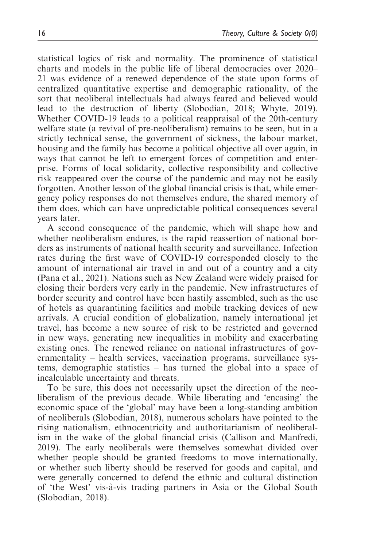statistical logics of risk and normality. The prominence of statistical charts and models in the public life of liberal democracies over 2020– 21 was evidence of a renewed dependence of the state upon forms of centralized quantitative expertise and demographic rationality, of the sort that neoliberal intellectuals had always feared and believed would lead to the destruction of liberty (Slobodian, 2018; Whyte, 2019). Whether COVID-19 leads to a political reappraisal of the 20th-century welfare state (a revival of pre-neoliberalism) remains to be seen, but in a strictly technical sense, the government of sickness, the labour market, housing and the family has become a political objective all over again, in ways that cannot be left to emergent forces of competition and enterprise. Forms of local solidarity, collective responsibility and collective risk reappeared over the course of the pandemic and may not be easily forgotten. Another lesson of the global financial crisis is that, while emergency policy responses do not themselves endure, the shared memory of them does, which can have unpredictable political consequences several years later.

A second consequence of the pandemic, which will shape how and whether neoliberalism endures, is the rapid reassertion of national borders as instruments of national health security and surveillance. Infection rates during the first wave of COVID-19 corresponded closely to the amount of international air travel in and out of a country and a city (Pana et al., 2021). Nations such as New Zealand were widely praised for closing their borders very early in the pandemic. New infrastructures of border security and control have been hastily assembled, such as the use of hotels as quarantining facilities and mobile tracking devices of new arrivals. A crucial condition of globalization, namely international jet travel, has become a new source of risk to be restricted and governed in new ways, generating new inequalities in mobility and exacerbating existing ones. The renewed reliance on national infrastructures of governmentality – health services, vaccination programs, surveillance systems, demographic statistics – has turned the global into a space of incalculable uncertainty and threats.

To be sure, this does not necessarily upset the direction of the neoliberalism of the previous decade. While liberating and 'encasing' the economic space of the 'global' may have been a long-standing ambition of neoliberals (Slobodian, 2018), numerous scholars have pointed to the rising nationalism, ethnocentricity and authoritarianism of neoliberalism in the wake of the global financial crisis (Callison and Manfredi, 2019). The early neoliberals were themselves somewhat divided over whether people should be granted freedoms to move internationally, or whether such liberty should be reserved for goods and capital, and were generally concerned to defend the ethnic and cultural distinction of 'the West' vis-a`-vis trading partners in Asia or the Global South (Slobodian, 2018).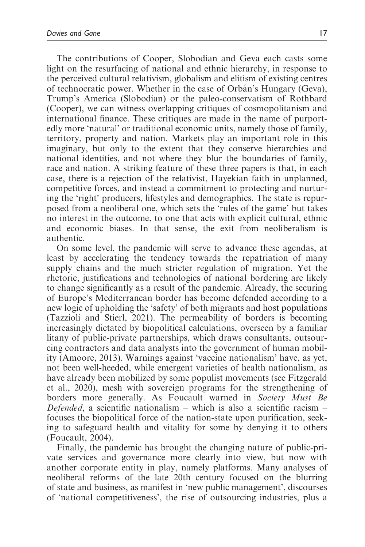The contributions of Cooper, Slobodian and Geva each casts some light on the resurfacing of national and ethnic hierarchy, in response to the perceived cultural relativism, globalism and elitism of existing centres of technocratic power. Whether in the case of Orbán's Hungary (Geva), Trump's America (Slobodian) or the paleo-conservatism of Rothbard (Cooper), we can witness overlapping critiques of cosmopolitanism and international finance. These critiques are made in the name of purportedly more 'natural' or traditional economic units, namely those of family, territory, property and nation. Markets play an important role in this imaginary, but only to the extent that they conserve hierarchies and national identities, and not where they blur the boundaries of family, race and nation. A striking feature of these three papers is that, in each case, there is a rejection of the relativist, Hayekian faith in unplanned, competitive forces, and instead a commitment to protecting and nurturing the 'right' producers, lifestyles and demographics. The state is repurposed from a neoliberal one, which sets the 'rules of the game' but takes no interest in the outcome, to one that acts with explicit cultural, ethnic and economic biases. In that sense, the exit from neoliberalism is authentic.

On some level, the pandemic will serve to advance these agendas, at least by accelerating the tendency towards the repatriation of many supply chains and the much stricter regulation of migration. Yet the rhetoric, justifications and technologies of national bordering are likely to change significantly as a result of the pandemic. Already, the securing of Europe's Mediterranean border has become defended according to a new logic of upholding the 'safety' of both migrants and host populations (Tazzioli and Stierl, 2021). The permeability of borders is becoming increasingly dictated by biopolitical calculations, overseen by a familiar litany of public-private partnerships, which draws consultants, outsourcing contractors and data analysts into the government of human mobility (Amoore, 2013). Warnings against 'vaccine nationalism' have, as yet, not been well-heeded, while emergent varieties of health nationalism, as have already been mobilized by some populist movements (see Fitzgerald et al., 2020), mesh with sovereign programs for the strengthening of borders more generally. As Foucault warned in Society Must Be Defended, a scientific nationalism – which is also a scientific racism – focuses the biopolitical force of the nation-state upon purification, seeking to safeguard health and vitality for some by denying it to others (Foucault, 2004).

Finally, the pandemic has brought the changing nature of public-private services and governance more clearly into view, but now with another corporate entity in play, namely platforms. Many analyses of neoliberal reforms of the late 20th century focused on the blurring of state and business, as manifest in 'new public management', discourses of 'national competitiveness', the rise of outsourcing industries, plus a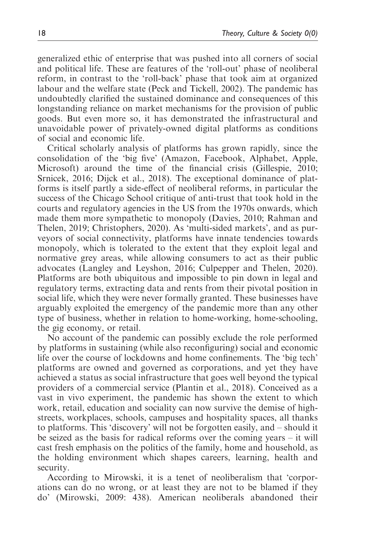generalized ethic of enterprise that was pushed into all corners of social and political life. These are features of the 'roll-out' phase of neoliberal reform, in contrast to the 'roll-back' phase that took aim at organized labour and the welfare state (Peck and Tickell, 2002). The pandemic has undoubtedly clarified the sustained dominance and consequences of this longstanding reliance on market mechanisms for the provision of public goods. But even more so, it has demonstrated the infrastructural and unavoidable power of privately-owned digital platforms as conditions of social and economic life.

Critical scholarly analysis of platforms has grown rapidly, since the consolidation of the 'big five' (Amazon, Facebook, Alphabet, Apple, Microsoft) around the time of the financial crisis (Gillespie, 2010; Srnicek, 2016; Dijck et al., 2018). The exceptional dominance of platforms is itself partly a side-effect of neoliberal reforms, in particular the success of the Chicago School critique of anti-trust that took hold in the courts and regulatory agencies in the US from the 1970s onwards, which made them more sympathetic to monopoly (Davies, 2010; Rahman and Thelen, 2019; Christophers, 2020). As 'multi-sided markets', and as purveyors of social connectivity, platforms have innate tendencies towards monopoly, which is tolerated to the extent that they exploit legal and normative grey areas, while allowing consumers to act as their public advocates (Langley and Leyshon, 2016; Culpepper and Thelen, 2020). Platforms are both ubiquitous and impossible to pin down in legal and regulatory terms, extracting data and rents from their pivotal position in social life, which they were never formally granted. These businesses have arguably exploited the emergency of the pandemic more than any other type of business, whether in relation to home-working, home-schooling, the gig economy, or retail.

No account of the pandemic can possibly exclude the role performed by platforms in sustaining (while also reconfiguring) social and economic life over the course of lockdowns and home confinements. The 'big tech' platforms are owned and governed as corporations, and yet they have achieved a status as social infrastructure that goes well beyond the typical providers of a commercial service (Plantin et al., 2018). Conceived as a vast in vivo experiment, the pandemic has shown the extent to which work, retail, education and sociality can now survive the demise of highstreets, workplaces, schools, campuses and hospitality spaces, all thanks to platforms. This 'discovery' will not be forgotten easily, and – should it be seized as the basis for radical reforms over the coming years – it will cast fresh emphasis on the politics of the family, home and household, as the holding environment which shapes careers, learning, health and security.

According to Mirowski, it is a tenet of neoliberalism that 'corporations can do no wrong, or at least they are not to be blamed if they do' (Mirowski, 2009: 438). American neoliberals abandoned their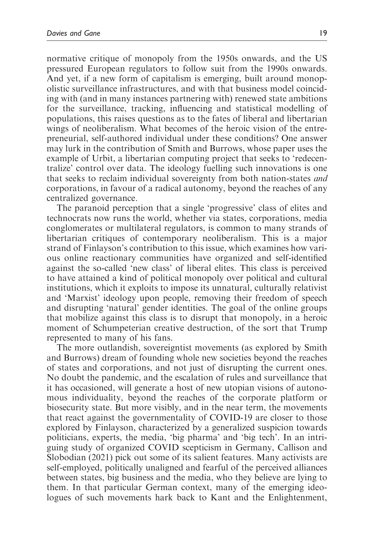normative critique of monopoly from the 1950s onwards, and the US pressured European regulators to follow suit from the 1990s onwards. And yet, if a new form of capitalism is emerging, built around monopolistic surveillance infrastructures, and with that business model coinciding with (and in many instances partnering with) renewed state ambitions for the surveillance, tracking, influencing and statistical modelling of populations, this raises questions as to the fates of liberal and libertarian wings of neoliberalism. What becomes of the heroic vision of the entrepreneurial, self-authored individual under these conditions? One answer may lurk in the contribution of Smith and Burrows, whose paper uses the example of Urbit, a libertarian computing project that seeks to 'redecentralize' control over data. The ideology fuelling such innovations is one that seeks to reclaim individual sovereignty from both nation-states and corporations, in favour of a radical autonomy, beyond the reaches of any centralized governance.

The paranoid perception that a single 'progressive' class of elites and technocrats now runs the world, whether via states, corporations, media conglomerates or multilateral regulators, is common to many strands of libertarian critiques of contemporary neoliberalism. This is a major strand of Finlayson's contribution to this issue, which examines how various online reactionary communities have organized and self-identified against the so-called 'new class' of liberal elites. This class is perceived to have attained a kind of political monopoly over political and cultural institutions, which it exploits to impose its unnatural, culturally relativist and 'Marxist' ideology upon people, removing their freedom of speech and disrupting 'natural' gender identities. The goal of the online groups that mobilize against this class is to disrupt that monopoly, in a heroic moment of Schumpeterian creative destruction, of the sort that Trump represented to many of his fans.

The more outlandish, sovereigntist movements (as explored by Smith and Burrows) dream of founding whole new societies beyond the reaches of states and corporations, and not just of disrupting the current ones. No doubt the pandemic, and the escalation of rules and surveillance that it has occasioned, will generate a host of new utopian visions of autonomous individuality, beyond the reaches of the corporate platform or biosecurity state. But more visibly, and in the near term, the movements that react against the governmentality of COVID-19 are closer to those explored by Finlayson, characterized by a generalized suspicion towards politicians, experts, the media, 'big pharma' and 'big tech'. In an intriguing study of organized COVID scepticism in Germany, Callison and Slobodian (2021) pick out some of its salient features. Many activists are self-employed, politically unaligned and fearful of the perceived alliances between states, big business and the media, who they believe are lying to them. In that particular German context, many of the emerging ideologues of such movements hark back to Kant and the Enlightenment,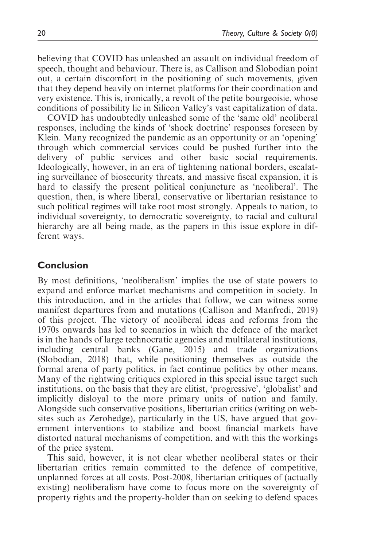believing that COVID has unleashed an assault on individual freedom of speech, thought and behaviour. There is, as Callison and Slobodian point out, a certain discomfort in the positioning of such movements, given that they depend heavily on internet platforms for their coordination and very existence. This is, ironically, a revolt of the petite bourgeoisie, whose conditions of possibility lie in Silicon Valley's vast capitalization of data.

COVID has undoubtedly unleashed some of the 'same old' neoliberal responses, including the kinds of 'shock doctrine' responses foreseen by Klein. Many recognized the pandemic as an opportunity or an 'opening' through which commercial services could be pushed further into the delivery of public services and other basic social requirements. Ideologically, however, in an era of tightening national borders, escalating surveillance of biosecurity threats, and massive fiscal expansion, it is hard to classify the present political conjuncture as 'neoliberal'. The question, then, is where liberal, conservative or libertarian resistance to such political regimes will take root most strongly. Appeals to nation, to individual sovereignty, to democratic sovereignty, to racial and cultural hierarchy are all being made, as the papers in this issue explore in different ways.

## **Conclusion**

By most definitions, 'neoliberalism' implies the use of state powers to expand and enforce market mechanisms and competition in society. In this introduction, and in the articles that follow, we can witness some manifest departures from and mutations (Callison and Manfredi, 2019) of this project. The victory of neoliberal ideas and reforms from the 1970s onwards has led to scenarios in which the defence of the market is in the hands of large technocratic agencies and multilateral institutions, including central banks (Gane, 2015) and trade organizations (Slobodian, 2018) that, while positioning themselves as outside the formal arena of party politics, in fact continue politics by other means. Many of the rightwing critiques explored in this special issue target such institutions, on the basis that they are elitist, 'progressive', 'globalist' and implicitly disloyal to the more primary units of nation and family. Alongside such conservative positions, libertarian critics (writing on websites such as Zerohedge), particularly in the US, have argued that government interventions to stabilize and boost financial markets have distorted natural mechanisms of competition, and with this the workings of the price system.

This said, however, it is not clear whether neoliberal states or their libertarian critics remain committed to the defence of competitive, unplanned forces at all costs. Post-2008, libertarian critiques of (actually existing) neoliberalism have come to focus more on the sovereignty of property rights and the property-holder than on seeking to defend spaces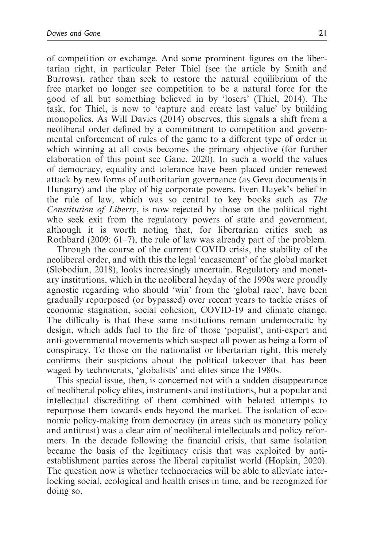of competition or exchange. And some prominent figures on the libertarian right, in particular Peter Thiel (see the article by Smith and Burrows), rather than seek to restore the natural equilibrium of the free market no longer see competition to be a natural force for the good of all but something believed in by 'losers' (Thiel, 2014). The task, for Thiel, is now to 'capture and create last value' by building monopolies. As Will Davies (2014) observes, this signals a shift from a neoliberal order defined by a commitment to competition and governmental enforcement of rules of the game to a different type of order in which winning at all costs becomes the primary objective (for further elaboration of this point see Gane, 2020). In such a world the values of democracy, equality and tolerance have been placed under renewed attack by new forms of authoritarian governance (as Geva documents in Hungary) and the play of big corporate powers. Even Hayek's belief in the rule of law, which was so central to key books such as The Constitution of Liberty, is now rejected by those on the political right who seek exit from the regulatory powers of state and government, although it is worth noting that, for libertarian critics such as Rothbard (2009: 61–7), the rule of law was already part of the problem.

Through the course of the current COVID crisis, the stability of the neoliberal order, and with this the legal 'encasement' of the global market (Slobodian, 2018), looks increasingly uncertain. Regulatory and monetary institutions, which in the neoliberal heyday of the 1990s were proudly agnostic regarding who should 'win' from the 'global race', have been gradually repurposed (or bypassed) over recent years to tackle crises of economic stagnation, social cohesion, COVID-19 and climate change. The difficulty is that these same institutions remain undemocratic by design, which adds fuel to the fire of those 'populist', anti-expert and anti-governmental movements which suspect all power as being a form of conspiracy. To those on the nationalist or libertarian right, this merely confirms their suspicions about the political takeover that has been waged by technocrats, 'globalists' and elites since the 1980s.

This special issue, then, is concerned not with a sudden disappearance of neoliberal policy elites, instruments and institutions, but a popular and intellectual discrediting of them combined with belated attempts to repurpose them towards ends beyond the market. The isolation of economic policy-making from democracy (in areas such as monetary policy and antitrust) was a clear aim of neoliberal intellectuals and policy reformers. In the decade following the financial crisis, that same isolation became the basis of the legitimacy crisis that was exploited by antiestablishment parties across the liberal capitalist world (Hopkin, 2020). The question now is whether technocracies will be able to alleviate interlocking social, ecological and health crises in time, and be recognized for doing so.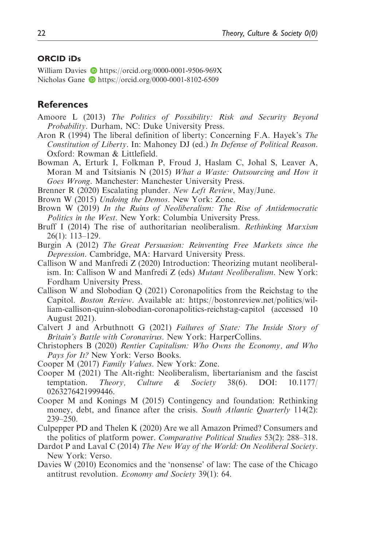#### ORCID iDs

William Davies **b** <https://orcid.org/0000-0001-9506-969X> Nicholas Gane **b** <https://orcid.org/0000-0001-8102-6509>

## **References**

- Amoore L (2013) The Politics of Possibility: Risk and Security Beyond Probability. Durham, NC: Duke University Press.
- Aron R (1994) The liberal definition of liberty: Concerning F.A. Hayek's The Constitution of Liberty. In: Mahoney DJ (ed.) In Defense of Political Reason. Oxford: Rowman & Littlefield.
- Bowman A, Erturk I, Folkman P, Froud J, Haslam C, Johal S, Leaver A, Moran M and Tsitsianis N (2015) What a Waste: Outsourcing and How it Goes Wrong. Manchester: Manchester University Press.
- Brenner R (2020) Escalating plunder. New Left Review, May/June.
- Brown W (2015) Undoing the Demos. New York: Zone.
- Brown W (2019) In the Ruins of Neoliberalism: The Rise of Antidemocratic Politics in the West. New York: Columbia University Press.
- Bruff I (2014) The rise of authoritarian neoliberalism. *Rethinking Marxism* 26(1): 113–129.
- Burgin A (2012) The Great Persuasion: Reinventing Free Markets since the Depression. Cambridge, MA: Harvard University Press.
- Callison W and Manfredi Z (2020) Introduction: Theorizing mutant neoliberalism. In: Callison W and Manfredi Z (eds) Mutant Neoliberalism. New York: Fordham University Press.
- Callison W and Slobodian Q (2021) Coronapolitics from the Reichstag to the Capitol. Boston Review. Available at: [https://bostonreview.net/politics/wil](https://bostonreview.net/politics/william-callison-quinn-slobodian-coronapolitics-reichstag-capitol)[liam-callison-quinn-slobodian-coronapolitics-reichstag-capitol](https://bostonreview.net/politics/william-callison-quinn-slobodian-coronapolitics-reichstag-capitol) (accessed 10 August 2021).
- Calvert J and Arbuthnott G (2021) Failures of State: The Inside Story of Britain's Battle with Coronavirus. New York: HarperCollins.
- Christophers B (2020) Rentier Capitalism: Who Owns the Economy, and Who Pays for It? New York: Verso Books.
- Cooper M (2017) Family Values. New York: Zone.
- Cooper M (2021) The Alt-right: Neoliberalism, libertarianism and the fascist temptation. Theory, Culture & Society 38(6). DOI: 10.1177/ 0263276421999446.
- Cooper M and Konings M (2015) Contingency and foundation: Rethinking money, debt, and finance after the crisis. South Atlantic Quarterly 114(2): 239–250.
- Culpepper PD and Thelen K (2020) Are we all Amazon Primed? Consumers and the politics of platform power. Comparative Political Studies 53(2): 288–318.
- Dardot P and Laval C (2014) The New Way of the World: On Neoliberal Society. New York: Verso.
- Davies W (2010) Economics and the 'nonsense' of law: The case of the Chicago antitrust revolution. Economy and Society 39(1): 64.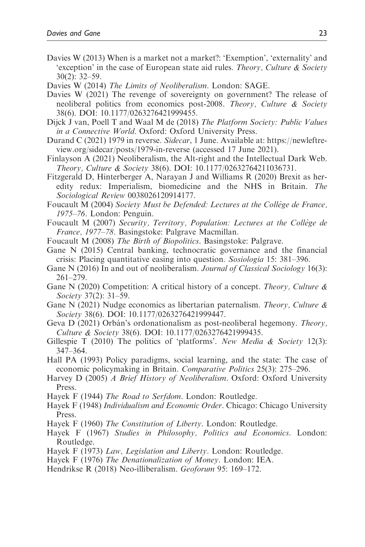- Davies W (2013) When is a market not a market?: 'Exemption', 'externality' and 'exception' in the case of European state aid rules. Theory, Culture & Society 30(2): 32–59.
- Davies W (2014) The Limits of Neoliberalism. London: SAGE.
- Davies W (2021) The revenge of sovereignty on government? The release of neoliberal politics from economics post-2008. Theory, Culture & Society 38(6). DOI: 10.1177/0263276421999455.
- Dijck J van, Poell T and Waal M de (2018) The Platform Society: Public Values in a Connective World. Oxford: Oxford University Press.
- Durand C (2021) 1979 in reverse. Sidecar, 1 June. Available at: [https://newleftre](https://newleftreview.org/sidecar/posts/1979-in-reverse)[view.org/sidecar/posts/1979-in-reverse](https://newleftreview.org/sidecar/posts/1979-in-reverse) (accessed 17 June 2021).
- Finlayson A (2021) Neoliberalism, the Alt-right and the Intellectual Dark Web. Theory, Culture & Society 38(6). DOI: 10.1177/02632764211036731.
- Fitzgerald D, Hinterberger A, Narayan J and Williams R (2020) Brexit as heredity redux: Imperialism, biomedicine and the NHS in Britain. The Sociological Review 0038026120914177.
- Foucault M (2004) Society Must be Defended: Lectures at the Collège de France, 1975–76. London: Penguin.
- Foucault M (2007) Security, Territory, Population: Lectures at the Collège de France, 1977–78. Basingstoke: Palgrave Macmillan.
- Foucault M (2008) The Birth of Biopolitics. Basingstoke: Palgrave.
- Gane N (2015) Central banking, technocratic governance and the financial crisis: Placing quantitative easing into question. Sosiologia 15: 381–396.
- Gane N (2016) In and out of neoliberalism. Journal of Classical Sociology 16(3): 261–279.
- Gane N (2020) Competition: A critical history of a concept. Theory, Culture  $\&$ Society 37(2): 31–59.
- Gane N (2021) Nudge economics as libertarian paternalism. Theory, Culture & Society 38(6). DOI: 10.1177/0263276421999447.
- Geva D (2021) Orbán's ordonationalism as post-neoliberal hegemony. Theory, Culture & Society 38(6). DOI: 10.1177/0263276421999435.
- Gillespie T (2010) The politics of 'platforms'. New Media & Society 12(3): 347–364.
- Hall PA (1993) Policy paradigms, social learning, and the state: The case of economic policymaking in Britain. Comparative Politics 25(3): 275–296.
- Harvey D (2005) A Brief History of Neoliberalism. Oxford: Oxford University Press.
- Hayek F (1944) The Road to Serfdom. London: Routledge.
- Hayek F (1948) Individualism and Economic Order. Chicago: Chicago University Press.
- Hayek F (1960) The Constitution of Liberty. London: Routledge.
- Hayek F (1967) Studies in Philosophy, Politics and Economics. London: Routledge.
- Hayek F (1973) Law, Legislation and Liberty. London: Routledge.
- Hayek F (1976) The Denationalization of Money. London: IEA.
- Hendrikse R (2018) Neo-illiberalism. Geoforum 95: 169–172.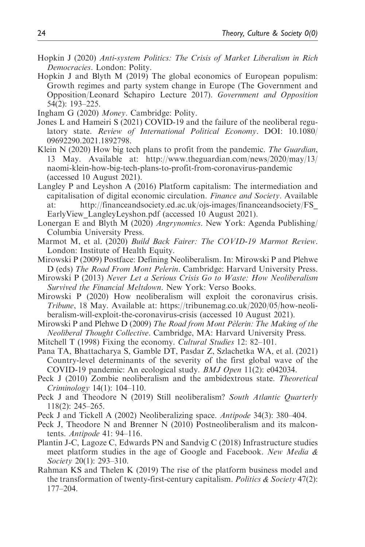- Hopkin J (2020) Anti-system Politics: The Crisis of Market Liberalism in Rich Democracies. London: Polity.
- Hopkin J and Blyth M (2019) The global economics of European populism: Growth regimes and party system change in Europe (The Government and Opposition/Leonard Schapiro Lecture 2017). Government and Opposition 54(2): 193–225.
- Ingham G (2020) Money. Cambridge: Polity.
- Jones L and Hameiri S (2021) COVID-19 and the failure of the neoliberal regulatory state. Review of International Political Economy. DOI: 10.1080/ 09692290.2021.1892798.
- Klein N (2020) How big tech plans to profit from the pandemic. The Guardian, 13 May. Available at: http://[www.theguardian.com/news/2020/may/13/](www.theguardian.com/news/2020/may/13/naomi-klein-how-big-tech-plans-to-profit-from-coronavirus-pandemic) [naomi-klein-how-big-tech-plans-to-profit-from-coronavirus-pandemic](www.theguardian.com/news/2020/may/13/naomi-klein-how-big-tech-plans-to-profit-from-coronavirus-pandemic) (accessed 10 August 2021).
- Langley P and Leyshon A (2016) Platform capitalism: The intermediation and capitalisation of digital economic circulation. Finance and Society. Available at: [http://financeandsociety.ed.ac.uk/ojs-images/financeandsociety/FS\\_](http://financeandsociety.ed.ac.uk/ojs-images/financeandsociety/FS_EarlyView_LangleyLeyshon.pdf) [EarlyView\\_LangleyLeyshon.pdf](http://financeandsociety.ed.ac.uk/ojs-images/financeandsociety/FS_EarlyView_LangleyLeyshon.pdf) (accessed 10 August 2021).
- Lonergan E and Blyth M (2020) Angrynomics. New York: Agenda Publishing/ Columbia University Press.
- Marmot M, et al. (2020) Build Back Fairer: The COVID-19 Marmot Review. London: Institute of Health Equity.
- Mirowski P (2009) Postface: Defining Neoliberalism. In: Mirowski P and Plehwe D (eds) The Road From Mont Pelerin. Cambridge: Harvard University Press.
- Mirowski P (2013) Never Let a Serious Crisis Go to Waste: How Neoliberalism Survived the Financial Meltdown. New York: Verso Books.
- Mirowski P (2020) How neoliberalism will exploit the coronavirus crisis. Tribune, 18 May. Available at: [https://tribunemag.co.uk/2020/05/how-neoli](https://tribunemag.co.uk/2020/05/how-neoliberalism-will-exploit-the-coronavirus-crisis)[beralism-will-exploit-the-coronavirus-crisis](https://tribunemag.co.uk/2020/05/how-neoliberalism-will-exploit-the-coronavirus-crisis) (accessed 10 August 2021).
- Mirowski P and Plehwe  $D(2009)$  The Road from Mont Pelerin: The Making of the Neoliberal Thought Collective. Cambridge, MA: Harvard University Press.
- Mitchell T (1998) Fixing the economy. Cultural Studies 12: 82–101.
- Pana TA, Bhattacharya S, Gamble DT, Pasdar Z, Szlachetka WA, et al. (2021) Country-level determinants of the severity of the first global wave of the COVID-19 pandemic: An ecological study. BMJ Open 11(2): e042034.
- Peck J (2010) Zombie neoliberalism and the ambidextrous state. Theoretical Criminology 14(1): 104–110.
- Peck J and Theodore N (2019) Still neoliberalism? South Atlantic Quarterly 118(2): 245–265.
- Peck J and Tickell A (2002) Neoliberalizing space. Antipode 34(3): 380–404.
- Peck J, Theodore N and Brenner N (2010) Postneoliberalism and its malcontents. Antipode 41: 94–116.
- Plantin J-C, Lagoze C, Edwards PN and Sandvig C (2018) Infrastructure studies meet platform studies in the age of Google and Facebook. New Media & Society 20(1): 293–310.
- Rahman KS and Thelen K (2019) The rise of the platform business model and the transformation of twenty-first-century capitalism. Politics  $\&$  Society 47(2): 177–204.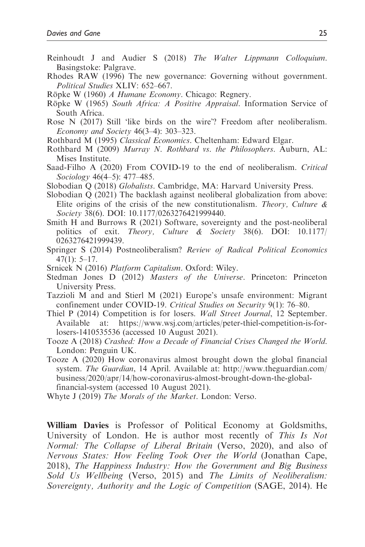- Reinhoudt J and Audier S (2018) The Walter Lippmann Colloquium. Basingstoke: Palgrave.
- Rhodes RAW (1996) The new governance: Governing without government. Political Studies XLIV: 652–667.
- Röpke W (1960) A Humane Economy. Chicago: Regnery.
- Röpke W (1965) South Africa: A Positive Appraisal. Information Service of South Africa.
- Rose N (2017) Still 'like birds on the wire'? Freedom after neoliberalism. Economy and Society 46(3–4): 303–323.
- Rothbard M (1995) Classical Economics. Cheltenham: Edward Elgar.
- Rothbard M (2009) Murray N. Rothbard vs. the Philosophers. Auburn, AL: Mises Institute.
- Saad-Filho A (2020) From COVID-19 to the end of neoliberalism. Critical Sociology 46(4–5): 477–485.
- Slobodian Q (2018) Globalists. Cambridge, MA: Harvard University Press.
- Slobodian Q (2021) The backlash against neoliberal globalization from above: Elite origins of the crisis of the new constitutionalism. Theory, Culture  $\&$ Society 38(6). DOI: 10.1177/0263276421999440.
- Smith H and Burrows R (2021) Software, sovereignty and the post-neoliberal politics of exit. Theory, Culture & Society 38(6). DOI: 10.1177/ 0263276421999439.
- Springer S (2014) Postneoliberalism? Review of Radical Political Economics  $47(1): 5-17.$
- Srnicek N (2016) Platform Capitalism. Oxford: Wiley.
- Stedman Jones D (2012) Masters of the Universe. Princeton: Princeton University Press.
- Tazzioli M and and Stierl M (2021) Europe's unsafe environment: Migrant confinement under COVID-19. Critical Studies on Security 9(1): 76–80.
- Thiel P (2014) Competition is for losers. Wall Street Journal, 12 September. Available at: [https://www.wsj.com/articles/peter-thiel-competition-is-for](https://www.wsj.com/articles/peter-thiel-competition-is-for-losers-1410535536)[losers-1410535536](https://www.wsj.com/articles/peter-thiel-competition-is-for-losers-1410535536) (accessed 10 August 2021).
- Tooze A (2018) Crashed: How a Decade of Financial Crises Changed the World. London: Penguin UK.
- Tooze A (2020) How coronavirus almost brought down the global financial system. The Guardian, 14 April. Available at: [http://www.theguardian.com/](http://www.theguardian.com/business/2020/apr/14/how-coronavirus-almost-brought-down-the-global-financial-system) [business/2020/apr/14/how-coronavirus-almost-brought-down-the-global](http://www.theguardian.com/business/2020/apr/14/how-coronavirus-almost-brought-down-the-global-financial-system)[financial-system](http://www.theguardian.com/business/2020/apr/14/how-coronavirus-almost-brought-down-the-global-financial-system) (accessed 10 August 2021).
- Whyte J (2019) The Morals of the Market. London: Verso.

William Davies is Professor of Political Economy at Goldsmiths, University of London. He is author most recently of This Is Not Normal: The Collapse of Liberal Britain (Verso, 2020), and also of Nervous States: How Feeling Took Over the World (Jonathan Cape, 2018), The Happiness Industry: How the Government and Big Business Sold Us Wellbeing (Verso, 2015) and The Limits of Neoliberalism: Sovereignty, Authority and the Logic of Competition (SAGE, 2014). He